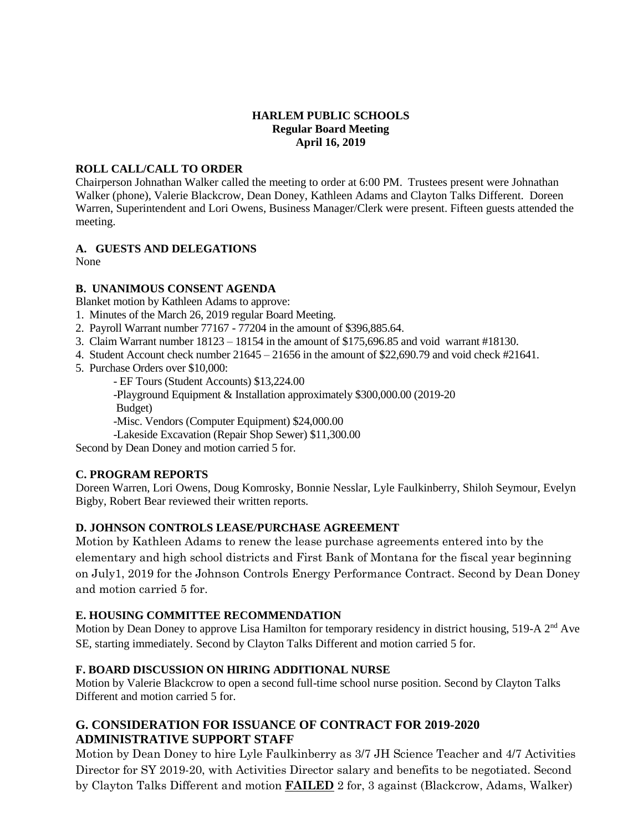#### **HARLEM PUBLIC SCHOOLS Regular Board Meeting April 16, 2019**

#### **ROLL CALL/CALL TO ORDER**

Chairperson Johnathan Walker called the meeting to order at 6:00 PM. Trustees present were Johnathan Walker (phone), Valerie Blackcrow, Dean Doney, Kathleen Adams and Clayton Talks Different. Doreen Warren, Superintendent and Lori Owens, Business Manager/Clerk were present. Fifteen guests attended the meeting.

# **A. GUESTS AND DELEGATIONS**

None

### **B. UNANIMOUS CONSENT AGENDA**

Blanket motion by Kathleen Adams to approve:

- 1. Minutes of the March 26, 2019 regular Board Meeting.
- 2. Payroll Warrant number 77167 77204 in the amount of \$396,885.64.
- 3. Claim Warrant number 18123 18154 in the amount of \$175,696.85 and void warrant #18130.
- 4. Student Account check number 21645 21656 in the amount of \$22,690.79 and void check #21641.
- 5. Purchase Orders over \$10,000:

- EF Tours (Student Accounts) \$13,224.00

-Playground Equipment & Installation approximately \$300,000.00 (2019-20 Budget)

-Misc. Vendors (Computer Equipment) \$24,000.00

-Lakeside Excavation (Repair Shop Sewer) \$11,300.00

Second by Dean Doney and motion carried 5 for.

### **C. PROGRAM REPORTS**

Doreen Warren, Lori Owens, Doug Komrosky, Bonnie Nesslar, Lyle Faulkinberry, Shiloh Seymour, Evelyn Bigby, Robert Bear reviewed their written reports.

### **D. JOHNSON CONTROLS LEASE/PURCHASE AGREEMENT**

Motion by Kathleen Adams to renew the lease purchase agreements entered into by the elementary and high school districts and First Bank of Montana for the fiscal year beginning on July1, 2019 for the Johnson Controls Energy Performance Contract. Second by Dean Doney and motion carried 5 for.

### **E. HOUSING COMMITTEE RECOMMENDATION**

Motion by Dean Doney to approve Lisa Hamilton for temporary residency in district housing, 519-A 2<sup>nd</sup> Ave SE, starting immediately. Second by Clayton Talks Different and motion carried 5 for.

### **F. BOARD DISCUSSION ON HIRING ADDITIONAL NURSE**

Motion by Valerie Blackcrow to open a second full-time school nurse position. Second by Clayton Talks Different and motion carried 5 for.

# **G. CONSIDERATION FOR ISSUANCE OF CONTRACT FOR 2019-2020 ADMINISTRATIVE SUPPORT STAFF**

Motion by Dean Doney to hire Lyle Faulkinberry as 3/7 JH Science Teacher and 4/7 Activities Director for SY 2019-20, with Activities Director salary and benefits to be negotiated. Second by Clayton Talks Different and motion **FAILED** 2 for, 3 against (Blackcrow, Adams, Walker)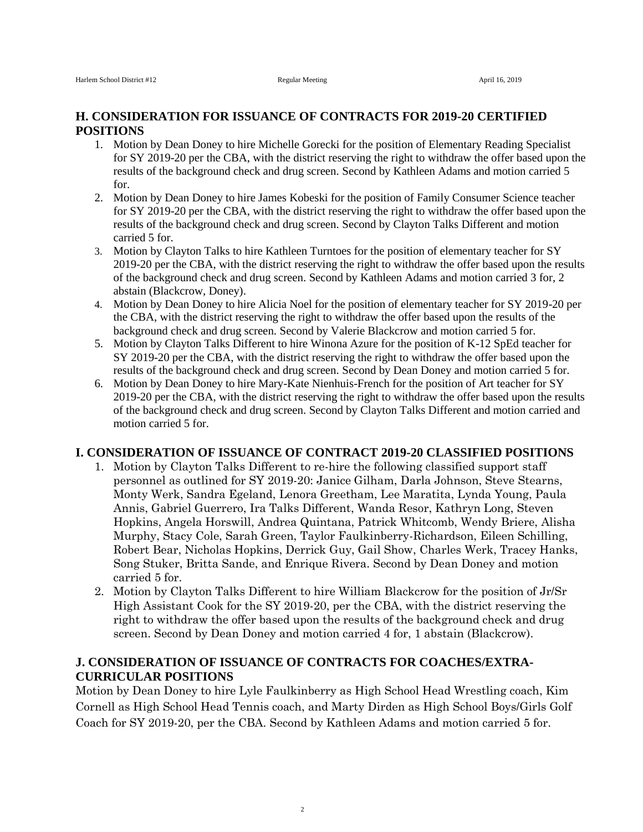## **H. CONSIDERATION FOR ISSUANCE OF CONTRACTS FOR 2019-20 CERTIFIED POSITIONS**

- 1. Motion by Dean Doney to hire Michelle Gorecki for the position of Elementary Reading Specialist for SY 2019-20 per the CBA, with the district reserving the right to withdraw the offer based upon the results of the background check and drug screen. Second by Kathleen Adams and motion carried 5 for.
- 2. Motion by Dean Doney to hire James Kobeski for the position of Family Consumer Science teacher for SY 2019-20 per the CBA, with the district reserving the right to withdraw the offer based upon the results of the background check and drug screen. Second by Clayton Talks Different and motion carried 5 for.
- 3. Motion by Clayton Talks to hire Kathleen Turntoes for the position of elementary teacher for SY 2019-20 per the CBA, with the district reserving the right to withdraw the offer based upon the results of the background check and drug screen. Second by Kathleen Adams and motion carried 3 for, 2 abstain (Blackcrow, Doney).
- 4. Motion by Dean Doney to hire Alicia Noel for the position of elementary teacher for SY 2019-20 per the CBA, with the district reserving the right to withdraw the offer based upon the results of the background check and drug screen. Second by Valerie Blackcrow and motion carried 5 for.
- 5. Motion by Clayton Talks Different to hire Winona Azure for the position of K-12 SpEd teacher for SY 2019-20 per the CBA, with the district reserving the right to withdraw the offer based upon the results of the background check and drug screen. Second by Dean Doney and motion carried 5 for.
- 6. Motion by Dean Doney to hire Mary-Kate Nienhuis-French for the position of Art teacher for SY 2019-20 per the CBA, with the district reserving the right to withdraw the offer based upon the results of the background check and drug screen. Second by Clayton Talks Different and motion carried and motion carried 5 for.

#### **I. CONSIDERATION OF ISSUANCE OF CONTRACT 2019-20 CLASSIFIED POSITIONS**

- 1. Motion by Clayton Talks Different to re-hire the following classified support staff personnel as outlined for SY 2019-20: Janice Gilham, Darla Johnson, Steve Stearns, Monty Werk, Sandra Egeland, Lenora Greetham, Lee Maratita, Lynda Young, Paula Annis, Gabriel Guerrero, Ira Talks Different, Wanda Resor, Kathryn Long, Steven Hopkins, Angela Horswill, Andrea Quintana, Patrick Whitcomb, Wendy Briere, Alisha Murphy, Stacy Cole, Sarah Green, Taylor Faulkinberry-Richardson, Eileen Schilling, Robert Bear, Nicholas Hopkins, Derrick Guy, Gail Show, Charles Werk, Tracey Hanks, Song Stuker, Britta Sande, and Enrique Rivera. Second by Dean Doney and motion carried 5 for.
- 2. Motion by Clayton Talks Different to hire William Blackcrow for the position of Jr/Sr High Assistant Cook for the SY 2019-20, per the CBA, with the district reserving the right to withdraw the offer based upon the results of the background check and drug screen. Second by Dean Doney and motion carried 4 for, 1 abstain (Blackcrow).

### **J. CONSIDERATION OF ISSUANCE OF CONTRACTS FOR COACHES/EXTRA-CURRICULAR POSITIONS**

Motion by Dean Doney to hire Lyle Faulkinberry as High School Head Wrestling coach, Kim Cornell as High School Head Tennis coach, and Marty Dirden as High School Boys/Girls Golf Coach for SY 2019-20, per the CBA. Second by Kathleen Adams and motion carried 5 for.